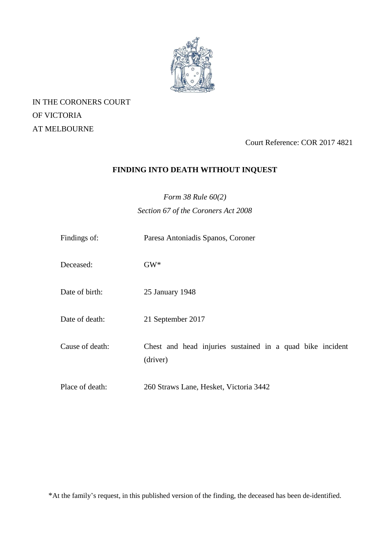

IN THE CORONERS COURT OF VICTORIA AT MELBOURNE

Court Reference: COR 2017 4821

# **FINDING INTO DEATH WITHOUT INQUEST**

*Form 38 Rule 60(2) Section 67 of the Coroners Act 2008*

| Findings of:    | Paresa Antoniadis Spanos, Coroner                                     |
|-----------------|-----------------------------------------------------------------------|
| Deceased:       | $GW^*$                                                                |
| Date of birth:  | 25 January 1948                                                       |
| Date of death:  | 21 September 2017                                                     |
| Cause of death: | Chest and head injuries sustained in a quad bike incident<br>(driver) |
| Place of death: | 260 Straws Lane, Hesket, Victoria 3442                                |

\*At the family's request, in this published version of the finding, the deceased has been de-identified.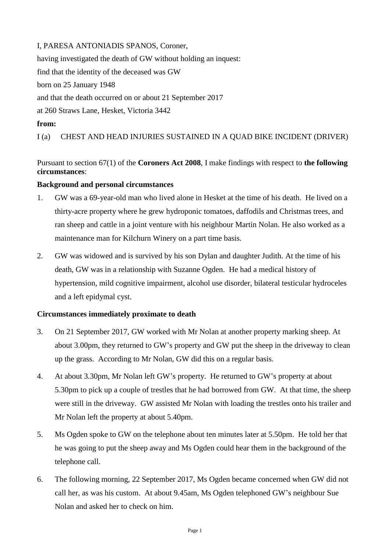# I, PARESA ANTONIADIS SPANOS, Coroner,

having investigated the death of GW without holding an inquest: find that the identity of the deceased was GW born on 25 January 1948 and that the death occurred on or about 21 September 2017 at 260 Straws Lane, Hesket, Victoria 3442 **from:** 

I (a) CHEST AND HEAD INJURIES SUSTAINED IN A QUAD BIKE INCIDENT (DRIVER)

Pursuant to section 67(1) of the **Coroners Act 2008**, I make findings with respect to **the following circumstances**:

## **Background and personal circumstances**

- 1. GW was a 69-year-old man who lived alone in Hesket at the time of his death. He lived on a thirty-acre property where he grew hydroponic tomatoes, daffodils and Christmas trees, and ran sheep and cattle in a joint venture with his neighbour Martin Nolan. He also worked as a maintenance man for Kilchurn Winery on a part time basis.
- 2. GW was widowed and is survived by his son Dylan and daughter Judith. At the time of his death, GW was in a relationship with Suzanne Ogden. He had a medical history of hypertension, mild cognitive impairment, alcohol use disorder, bilateral testicular hydroceles and a left epidymal cyst.

# **Circumstances immediately proximate to death**

- 3. On 21 September 2017, GW worked with Mr Nolan at another property marking sheep. At about 3.00pm, they returned to GW's property and GW put the sheep in the driveway to clean up the grass. According to Mr Nolan, GW did this on a regular basis.
- 4. At about 3.30pm, Mr Nolan left GW's property. He returned to GW's property at about 5.30pm to pick up a couple of trestles that he had borrowed from GW. At that time, the sheep were still in the driveway. GW assisted Mr Nolan with loading the trestles onto his trailer and Mr Nolan left the property at about 5.40pm.
- 5. Ms Ogden spoke to GW on the telephone about ten minutes later at 5.50pm. He told her that he was going to put the sheep away and Ms Ogden could hear them in the background of the telephone call.
- 6. The following morning, 22 September 2017, Ms Ogden became concerned when GW did not call her, as was his custom. At about 9.45am, Ms Ogden telephoned GW's neighbour Sue Nolan and asked her to check on him.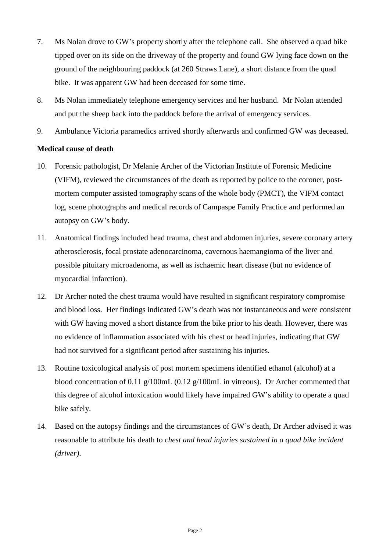- 7. Ms Nolan drove to GW's property shortly after the telephone call. She observed a quad bike tipped over on its side on the driveway of the property and found GW lying face down on the ground of the neighbouring paddock (at 260 Straws Lane), a short distance from the quad bike. It was apparent GW had been deceased for some time.
- 8. Ms Nolan immediately telephone emergency services and her husband. Mr Nolan attended and put the sheep back into the paddock before the arrival of emergency services.
- 9. Ambulance Victoria paramedics arrived shortly afterwards and confirmed GW was deceased.

# **Medical cause of death**

- 10. Forensic pathologist, Dr Melanie Archer of the Victorian Institute of Forensic Medicine (VIFM), reviewed the circumstances of the death as reported by police to the coroner, postmortem computer assisted tomography scans of the whole body (PMCT), the VIFM contact log, scene photographs and medical records of Campaspe Family Practice and performed an autopsy on GW's body.
- 11. Anatomical findings included head trauma, chest and abdomen injuries, severe coronary artery atherosclerosis, focal prostate adenocarcinoma, cavernous haemangioma of the liver and possible pituitary microadenoma, as well as ischaemic heart disease (but no evidence of myocardial infarction).
- 12. Dr Archer noted the chest trauma would have resulted in significant respiratory compromise and blood loss. Her findings indicated GW's death was not instantaneous and were consistent with GW having moved a short distance from the bike prior to his death. However, there was no evidence of inflammation associated with his chest or head injuries, indicating that GW had not survived for a significant period after sustaining his injuries.
- 13. Routine toxicological analysis of post mortem specimens identified ethanol (alcohol) at a blood concentration of 0.11 g/100mL (0.12 g/100mL in vitreous). Dr Archer commented that this degree of alcohol intoxication would likely have impaired GW's ability to operate a quad bike safely.
- 14. Based on the autopsy findings and the circumstances of GW's death, Dr Archer advised it was reasonable to attribute his death to *chest and head injuries sustained in a quad bike incident (driver)*.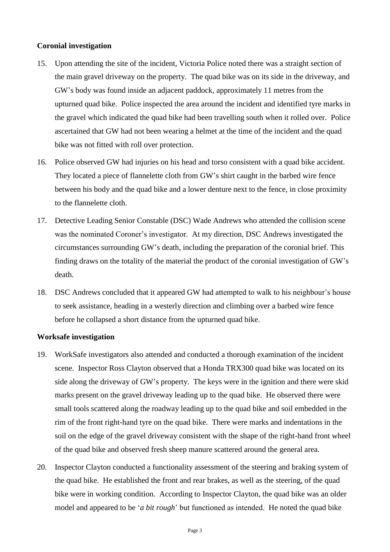### **Coronial investigation**

- 15. Upon attending the site of the incident, Victoria Police noted there was a straight section of the main gravel driveway on the property. The quad bike was on its side in the driveway, and GW's body was found inside an adjacent paddock, approximately 11 metres from the upturned quad bike. Police inspected the area around the incident and identified tyre marks in the gravel which indicated the quad bike had been travelling south when it rolled over. Police ascertained that GW had not been wearing a helmet at the time of the incident and the quad bike was not fitted with roll over protection.
- 16. Police observed GW had injuries on his head and torso consistent with a quad bike accident. They located a piece of flannelette cloth from GW's shirt caught in the barbed wire fence between his body and the quad bike and a lower denture next to the fence, in close proximity to the flannelette cloth.
- 17. Detective Leading Senior Constable (DSC) Wade Andrews who attended the collision scene was the nominated Coroner's investigator. At my direction, DSC Andrews investigated the circumstances surrounding GW's death, including the preparation of the coronial brief. This finding draws on the totality of the material the product of the coronial investigation of GW's death.
- 18. DSC Andrews concluded that it appeared GW had attempted to walk to his neighbour's house to seek assistance, heading in a westerly direction and climbing over a barbed wire fence before he collapsed a short distance from the upturned quad bike.

#### **Worksafe investigation**

- 19. WorkSafe investigators also attended and conducted a thorough examination of the incident scene. Inspector Ross Clayton observed that a Honda TRX300 quad bike was located on its side along the driveway of GW's property. The keys were in the ignition and there were skid marks present on the gravel driveway leading up to the quad bike. He observed there were small tools scattered along the roadway leading up to the quad bike and soil embedded in the rim of the front right-hand tyre on the quad bike. There were marks and indentations in the soil on the edge of the gravel driveway consistent with the shape of the right-hand front wheel of the quad bike and observed fresh sheep manure scattered around the general area.
- 20. Inspector Clayton conducted a functionality assessment of the steering and braking system of the quad bike. He established the front and rear brakes, as well as the steering, of the quad bike were in working condition. According to Inspector Clayton, the quad bike was an older model and appeared to be '*a bit rough*' but functioned as intended. He noted the quad bike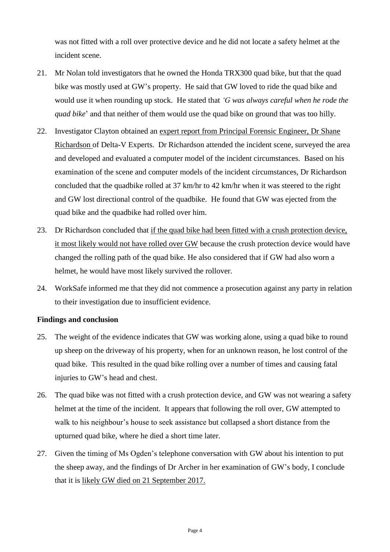was not fitted with a roll over protective device and he did not locate a safety helmet at the incident scene.

- 21. Mr Nolan told investigators that he owned the Honda TRX300 quad bike, but that the quad bike was mostly used at GW's property. He said that GW loved to ride the quad bike and would use it when rounding up stock. He stated that *'G was always careful when he rode the quad bike*' and that neither of them would use the quad bike on ground that was too hilly.
- 22. Investigator Clayton obtained an expert report from Principal Forensic Engineer, Dr Shane Richardson of Delta-V Experts. Dr Richardson attended the incident scene, surveyed the area and developed and evaluated a computer model of the incident circumstances. Based on his examination of the scene and computer models of the incident circumstances, Dr Richardson concluded that the quadbike rolled at 37 km/hr to 42 km/hr when it was steered to the right and GW lost directional control of the quadbike. He found that GW was ejected from the quad bike and the quadbike had rolled over him.
- 23. Dr Richardson concluded that if the quad bike had been fitted with a crush protection device, it most likely would not have rolled over GW because the crush protection device would have changed the rolling path of the quad bike. He also considered that if GW had also worn a helmet, he would have most likely survived the rollover.
- 24. WorkSafe informed me that they did not commence a prosecution against any party in relation to their investigation due to insufficient evidence.

### **Findings and conclusion**

- 25. The weight of the evidence indicates that GW was working alone, using a quad bike to round up sheep on the driveway of his property, when for an unknown reason, he lost control of the quad bike. This resulted in the quad bike rolling over a number of times and causing fatal injuries to GW's head and chest.
- 26. The quad bike was not fitted with a crush protection device, and GW was not wearing a safety helmet at the time of the incident. It appears that following the roll over, GW attempted to walk to his neighbour's house to seek assistance but collapsed a short distance from the upturned quad bike, where he died a short time later.
- 27. Given the timing of Ms Ogden's telephone conversation with GW about his intention to put the sheep away, and the findings of Dr Archer in her examination of GW's body, I conclude that it is likely GW died on 21 September 2017.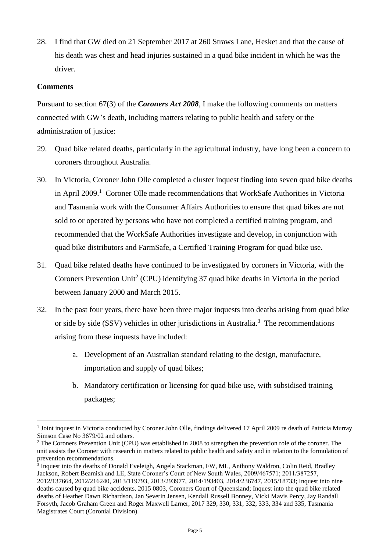28. I find that GW died on 21 September 2017 at 260 Straws Lane, Hesket and that the cause of his death was chest and head injuries sustained in a quad bike incident in which he was the driver.

# **Comments**

1

Pursuant to section 67(3) of the *Coroners Act 2008*, I make the following comments on matters connected with GW's death, including matters relating to public health and safety or the administration of justice:

- 29. Quad bike related deaths, particularly in the agricultural industry, have long been a concern to coroners throughout Australia.
- 30. In Victoria, Coroner John Olle completed a cluster inquest finding into seven quad bike deaths in April 2009.<sup>1</sup> Coroner Olle made recommendations that WorkSafe Authorities in Victoria and Tasmania work with the Consumer Affairs Authorities to ensure that quad bikes are not sold to or operated by persons who have not completed a certified training program, and recommended that the WorkSafe Authorities investigate and develop, in conjunction with quad bike distributors and FarmSafe, a Certified Training Program for quad bike use.
- 31. Quad bike related deaths have continued to be investigated by coroners in Victoria, with the Coroners Prevention Unit<sup>2</sup> (CPU) identifying 37 quad bike deaths in Victoria in the period between January 2000 and March 2015.
- 32. In the past four years, there have been three major inquests into deaths arising from quad bike or side by side (SSV) vehicles in other jurisdictions in Australia.<sup>3</sup> The recommendations arising from these inquests have included:
	- a. Development of an Australian standard relating to the design, manufacture, importation and supply of quad bikes;
	- b. Mandatory certification or licensing for quad bike use, with subsidised training packages;

<sup>&</sup>lt;sup>1</sup> Joint inquest in Victoria conducted by Coroner John Olle, findings delivered 17 April 2009 re death of Patricia Murray Simson Case No 3679/02 and others.

<sup>&</sup>lt;sup>2</sup> The Coroners Prevention Unit (CPU) was established in 2008 to strengthen the prevention role of the coroner. The unit assists the Coroner with research in matters related to public health and safety and in relation to the formulation of prevention recommendations.

<sup>&</sup>lt;sup>3</sup> Inquest into the deaths of Donald Eveleigh, Angela Stackman, FW, ML, Anthony Waldron, Colin Reid, Bradley Jackson, Robert Beamish and LE, State Coroner's Court of New South Wales, 2009/467571; 2011/387257, 2012/137664, 2012/216240, 2013/119793, 2013/293977, 2014/193403, 2014/236747, 2015/18733; Inquest into nine deaths caused by quad bike accidents, 2015 0803, Coroners Court of Queensland; Inquest into the quad bike related deaths of Heather Dawn Richardson, Jan Severin Jensen, Kendall Russell Bonney, Vicki Mavis Percy, Jay Randall Forsyth, Jacob Graham Green and Roger Maxwell Larner, 2017 329, 330, 331, 332, 333, 334 and 335, Tasmania Magistrates Court (Coronial Division).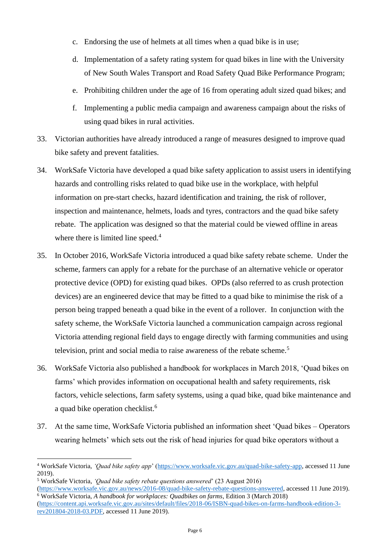- c. Endorsing the use of helmets at all times when a quad bike is in use;
- d. Implementation of a safety rating system for quad bikes in line with the University of New South Wales Transport and Road Safety Quad Bike Performance Program;
- e. Prohibiting children under the age of 16 from operating adult sized quad bikes; and
- f. Implementing a public media campaign and awareness campaign about the risks of using quad bikes in rural activities.
- 33. Victorian authorities have already introduced a range of measures designed to improve quad bike safety and prevent fatalities.
- 34. WorkSafe Victoria have developed a quad bike safety application to assist users in identifying hazards and controlling risks related to quad bike use in the workplace, with helpful information on pre-start checks, hazard identification and training, the risk of rollover, inspection and maintenance, helmets, loads and tyres, contractors and the quad bike safety rebate. The application was designed so that the material could be viewed offline in areas where there is limited line speed.<sup>4</sup>
- 35. In October 2016, WorkSafe Victoria introduced a quad bike safety rebate scheme. Under the scheme, farmers can apply for a rebate for the purchase of an alternative vehicle or operator protective device (OPD) for existing quad bikes. OPDs (also referred to as crush protection devices) are an engineered device that may be fitted to a quad bike to minimise the risk of a person being trapped beneath a quad bike in the event of a rollover. In conjunction with the safety scheme, the WorkSafe Victoria launched a communication campaign across regional Victoria attending regional field days to engage directly with farming communities and using television, print and social media to raise awareness of the rebate scheme.<sup>5</sup>
- 36. WorkSafe Victoria also published a handbook for workplaces in March 2018, 'Quad bikes on farms' which provides information on occupational health and safety requirements, risk factors, vehicle selections, farm safety systems, using a quad bike, quad bike maintenance and a quad bike operation checklist.<sup>6</sup>
- 37. At the same time, WorkSafe Victoria published an information sheet 'Quad bikes Operators wearing helmets' which sets out the risk of head injuries for quad bike operators without a

1

<sup>4</sup> WorkSafe Victoria, *'Quad bike safety app*' [\(https://www.worksafe.vic.gov.au/quad-bike-safety-app,](https://www.worksafe.vic.gov.au/quad-bike-safety-app) accessed 11 June 2019).

<sup>5</sup> WorkSafe Victoria, *'Quad bike safety rebate questions answered*' (23 August 2016) [\(https://www.worksafe.vic.gov.au/news/2016-08/quad-bike-safety-rebate-questions-answered,](https://www.worksafe.vic.gov.au/news/2016-08/quad-bike-safety-rebate-questions-answered) accessed 11 June 2019).

<sup>6</sup> WorkSafe Victoria, *A handbook for workplaces: Quadbikes on farms*, Edition 3 (March 2018) [\(https://content.api.worksafe.vic.gov.au/sites/default/files/2018-06/ISBN-quad-bikes-on-farms-handbook-edition-3](https://content.api.worksafe.vic.gov.au/sites/default/files/2018-06/ISBN-quad-bikes-on-farms-handbook-edition-3-rev201804-2018-03.PDF) [rev201804-2018-03.PDF,](https://content.api.worksafe.vic.gov.au/sites/default/files/2018-06/ISBN-quad-bikes-on-farms-handbook-edition-3-rev201804-2018-03.PDF) accessed 11 June 2019).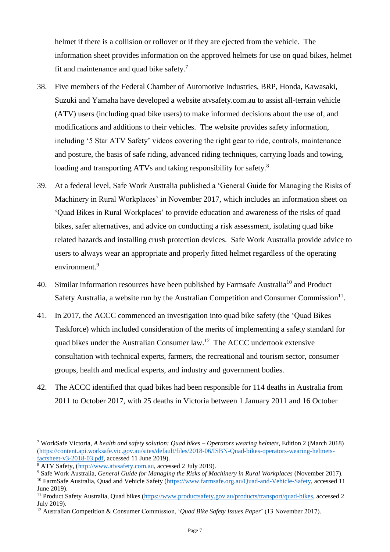helmet if there is a collision or rollover or if they are ejected from the vehicle. The information sheet provides information on the approved helmets for use on quad bikes, helmet fit and maintenance and quad bike safety. $<sup>7</sup>$ </sup>

- 38. Five members of the Federal Chamber of Automotive Industries, BRP, Honda, Kawasaki, Suzuki and Yamaha have developed a website atvsafety.com.au to assist all-terrain vehicle (ATV) users (including quad bike users) to make informed decisions about the use of, and modifications and additions to their vehicles. The website provides safety information, including '5 Star ATV Safety' videos covering the right gear to ride, controls, maintenance and posture, the basis of safe riding, advanced riding techniques, carrying loads and towing, loading and transporting ATVs and taking responsibility for safety.<sup>8</sup>
- 39. At a federal level, Safe Work Australia published a 'General Guide for Managing the Risks of Machinery in Rural Workplaces' in November 2017, which includes an information sheet on 'Quad Bikes in Rural Workplaces' to provide education and awareness of the risks of quad bikes, safer alternatives, and advice on conducting a risk assessment, isolating quad bike related hazards and installing crush protection devices. Safe Work Australia provide advice to users to always wear an appropriate and properly fitted helmet regardless of the operating environment.<sup>9</sup>
- 40. Similar information resources have been published by Farmsafe Australia<sup>10</sup> and Product Safety Australia, a website run by the Australian Competition and Consumer Commission<sup>11</sup>.
- 41. In 2017, the ACCC commenced an investigation into quad bike safety (the 'Quad Bikes Taskforce) which included consideration of the merits of implementing a safety standard for quad bikes under the Australian Consumer law.<sup>12</sup> The ACCC undertook extensive consultation with technical experts, farmers, the recreational and tourism sector, consumer groups, health and medical experts, and industry and government bodies.
- 42. The ACCC identified that quad bikes had been responsible for 114 deaths in Australia from 2011 to October 2017, with 25 deaths in Victoria between 1 January 2011 and 16 October

1

<sup>7</sup> WorkSafe Victoria, *A health and safety solution: Quad bikes – Operators wearing helmets*, Edition 2 (March 2018) [\(https://content.api.worksafe.vic.gov.au/sites/default/files/2018-06/ISBN-Quad-bikes-operators-wearing-helmets](https://content.api.worksafe.vic.gov.au/sites/default/files/2018-06/ISBN-Quad-bikes-operators-wearing-helmets-factsheet-v3-2018-03.pdf)[factsheet-v3-2018-03.pdf,](https://content.api.worksafe.vic.gov.au/sites/default/files/2018-06/ISBN-Quad-bikes-operators-wearing-helmets-factsheet-v3-2018-03.pdf) accessed 11 June 2019).

<sup>8</sup> ATV Safety, [\(http://www.atvsafety.com.au,](http://www.atvsafety.com.au/) accessed 2 July 2019).

<sup>9</sup> Safe Work Australia, *General Guide for Managing the Risks of Machinery in Rural Workplaces* (November 2017).

<sup>&</sup>lt;sup>10</sup> FarmSafe Australia, Quad and Vehicle Safety [\(https://www.farmsafe.org.au/Quad-and-Vehicle-Safety,](https://www.farmsafe.org.au/Quad-and-Vehicle-Safety) accessed 11 June 2019).

<sup>11</sup> Product Safety Australia, Quad bikes [\(https://www.productsafety.gov.au/products/transport/quad-bikes,](https://www.productsafety.gov.au/products/transport/quad-bikes) accessed 2 July 2019).

<sup>12</sup> Australian Competition & Consumer Commission, '*Quad Bike Safety Issues Paper*' (13 November 2017).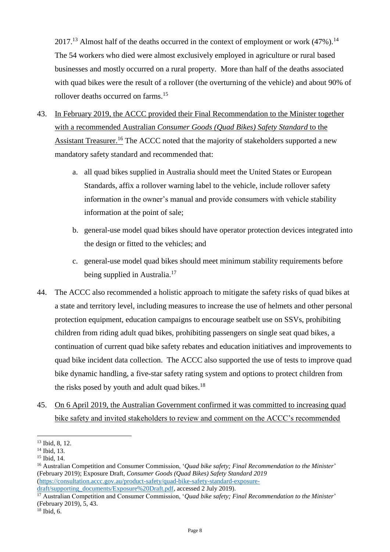$2017<sup>13</sup>$  Almost half of the deaths occurred in the context of employment or work (47%).<sup>14</sup> The 54 workers who died were almost exclusively employed in agriculture or rural based businesses and mostly occurred on a rural property. More than half of the deaths associated with quad bikes were the result of a rollover (the overturning of the vehicle) and about 90% of rollover deaths occurred on farms.<sup>15</sup>

- 43. In February 2019, the ACCC provided their Final Recommendation to the Minister together with a recommended Australian *Consumer Goods (Quad Bikes) Safety Standard* to the Assistant Treasurer.<sup>16</sup> The ACCC noted that the majority of stakeholders supported a new mandatory safety standard and recommended that:
	- a. all quad bikes supplied in Australia should meet the United States or European Standards, affix a rollover warning label to the vehicle, include rollover safety information in the owner's manual and provide consumers with vehicle stability information at the point of sale;
	- b. general-use model quad bikes should have operator protection devices integrated into the design or fitted to the vehicles; and
	- c. general-use model quad bikes should meet minimum stability requirements before being supplied in Australia.<sup>17</sup>
- 44. The ACCC also recommended a holistic approach to mitigate the safety risks of quad bikes at a state and territory level, including measures to increase the use of helmets and other personal protection equipment, education campaigns to encourage seatbelt use on SSVs, prohibiting children from riding adult quad bikes, prohibiting passengers on single seat quad bikes, a continuation of current quad bike safety rebates and education initiatives and improvements to quad bike incident data collection. The ACCC also supported the use of tests to improve quad bike dynamic handling, a five-star safety rating system and options to protect children from the risks posed by youth and adult quad bikes. $18$
- 45. On 6 April 2019, the Australian Government confirmed it was committed to increasing quad bike safety and invited stakeholders to review and comment on the ACCC's recommended

1

<sup>13</sup> Ibid, 8, 12.

<sup>14</sup> Ibid, 13.

<sup>15</sup> Ibid, 14.

<sup>16</sup> Australian Competition and Consumer Commission, '*Quad bike safety; Final Recommendation to the Minister*' (February 2019); Exposure Draft, *Consumer Goods (Quad Bikes) Safety Standard 2019* [\(https://consultation.accc.gov.au/product-safety/quad-bike-safety-standard-exposure-](https://consultation.accc.gov.au/product-safety/quad-bike-safety-standard-exposure-draft/supporting_documents/Exposure%20Draft.pdf)

[draft/supporting\\_documents/Exposure%20Draft.pdf,](https://consultation.accc.gov.au/product-safety/quad-bike-safety-standard-exposure-draft/supporting_documents/Exposure%20Draft.pdf) accessed 2 July 2019).

<sup>17</sup> Australian Competition and Consumer Commission, '*Quad bike safety; Final Recommendation to the Minister*' (February 2019), 5, 43.

 $18$  Ibid, 6.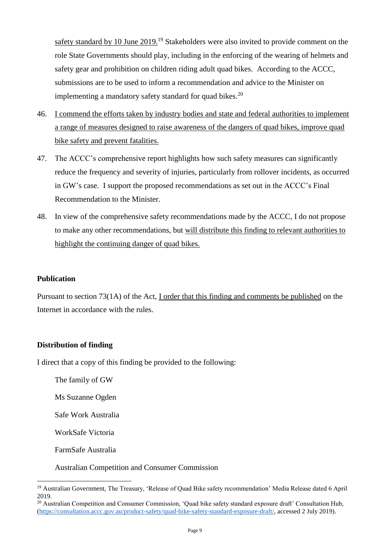safety standard by 10 June 2019.<sup>19</sup> Stakeholders were also invited to provide comment on the role State Governments should play, including in the enforcing of the wearing of helmets and safety gear and prohibition on children riding adult quad bikes. According to the ACCC, submissions are to be used to inform a recommendation and advice to the Minister on implementing a mandatory safety standard for quad bikes. $20$ 

- 46. I commend the efforts taken by industry bodies and state and federal authorities to implement a range of measures designed to raise awareness of the dangers of quad bikes, improve quad bike safety and prevent fatalities.
- 47. The ACCC's comprehensive report highlights how such safety measures can significantly reduce the frequency and severity of injuries, particularly from rollover incidents, as occurred in GW's case. I support the proposed recommendations as set out in the ACCC's Final Recommendation to the Minister.
- 48. In view of the comprehensive safety recommendations made by the ACCC, I do not propose to make any other recommendations, but will distribute this finding to relevant authorities to highlight the continuing danger of quad bikes.

## **Publication**

Pursuant to section 73(1A) of the Act, I order that this finding and comments be published on the Internet in accordance with the rules.

# **Distribution of finding**

I direct that a copy of this finding be provided to the following:

The family of GW

Ms Suzanne Ogden

Safe Work Australia

WorkSafe Victoria

FarmSafe Australia

1

Australian Competition and Consumer Commission

<sup>&</sup>lt;sup>19</sup> Australian Government, The Treasury, 'Release of Quad Bike safety recommendation' Media Release dated 6 April 2019.

<sup>&</sup>lt;sup>20</sup> Australian Competition and Consumer Commission, 'Quad bike safety standard exposure draft' Consultation Hub, [\(https://consultation.accc.gov.au/product-safety/quad-bike-safety-standard-exposure-draft/,](https://consultation.accc.gov.au/product-safety/quad-bike-safety-standard-exposure-draft/) accessed 2 July 2019).